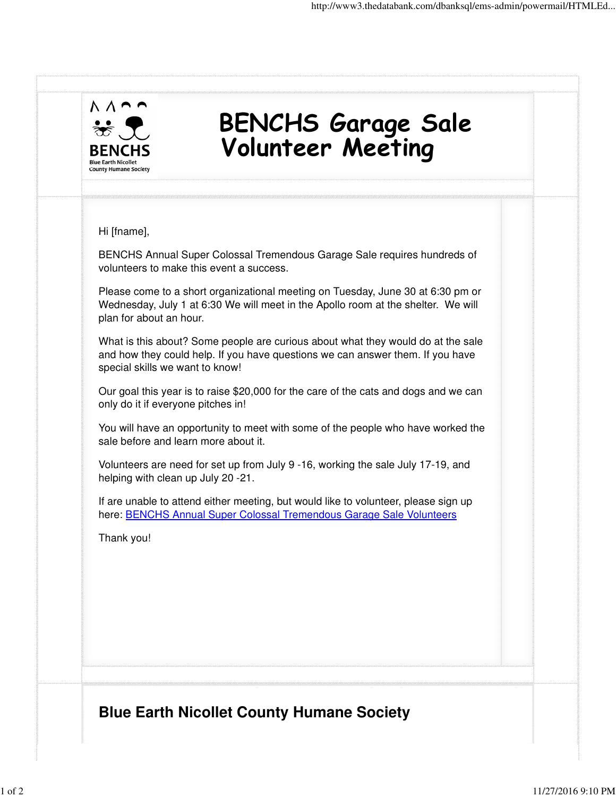